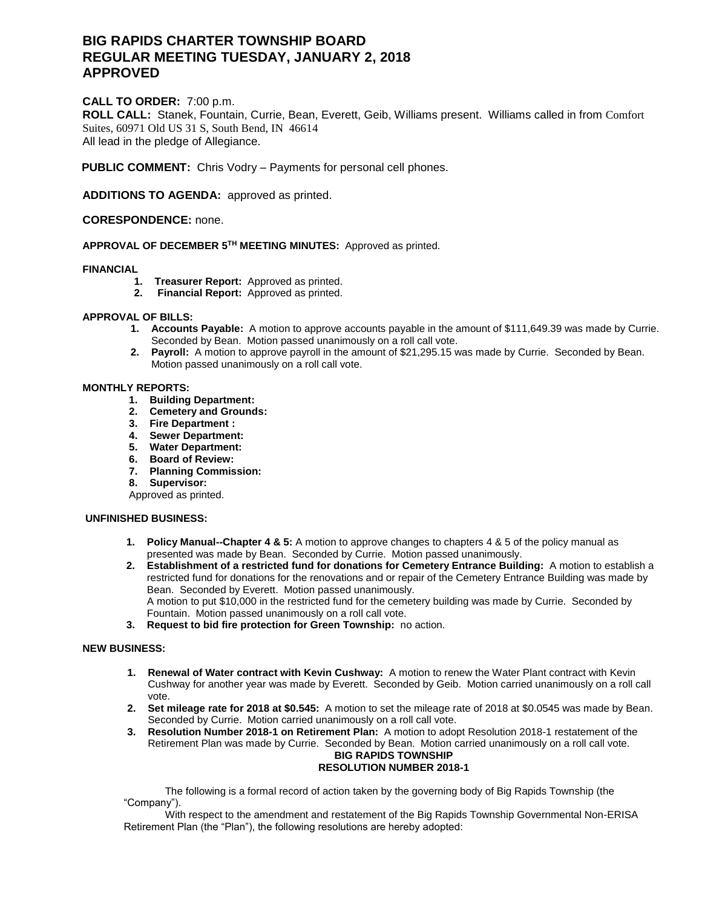# **BIG RAPIDS CHARTER TOWNSHIP BOARD REGULAR MEETING TUESDAY, JANUARY 2, 2018 APPROVED**

# **CALL TO ORDER:** 7:00 p.m.

**ROLL CALL:** Stanek, Fountain, Currie, Bean, Everett, Geib, Williams present. Williams called in from Comfort Suites, 60971 Old US 31 S, South Bend, IN 46614 All lead in the pledge of Allegiance.

**PUBLIC COMMENT:** Chris Vodry – Payments for personal cell phones.

**ADDITIONS TO AGENDA:** approved as printed.

## **CORESPONDENCE:** none.

**APPROVAL OF DECEMBER 5 TH MEETING MINUTES:** Approved as printed.

### **FINANCIAL**

- **1. Treasurer Report:** Approved as printed.
- **2. Financial Report:** Approved as printed.

### **APPROVAL OF BILLS:**

- **1. Accounts Payable:** A motion to approve accounts payable in the amount of \$111,649.39 was made by Currie. Seconded by Bean. Motion passed unanimously on a roll call vote.
- **2. Payroll:** A motion to approve payroll in the amount of \$21,295.15 was made by Currie. Seconded by Bean. Motion passed unanimously on a roll call vote.

### **MONTHLY REPORTS:**

- **1. Building Department:**
- **2. Cemetery and Grounds:**
- **3. Fire Department :**
- **4. Sewer Department:**
- **5. Water Department:**
- **6. Board of Review:**
- **7. Planning Commission:**
- **8. Supervisor:**

Approved as printed.

### **UNFINISHED BUSINESS:**

- **1. Policy Manual--Chapter 4 & 5:** A motion to approve changes to chapters 4 & 5 of the policy manual as presented was made by Bean. Seconded by Currie. Motion passed unanimously.
- **2. Establishment of a restricted fund for donations for Cemetery Entrance Building:** A motion to establish a restricted fund for donations for the renovations and or repair of the Cemetery Entrance Building was made by Bean. Seconded by Everett. Motion passed unanimously. A motion to put \$10,000 in the restricted fund for the cemetery building was made by Currie. Seconded by Fountain. Motion passed unanimously on a roll call vote.
- **3. Request to bid fire protection for Green Township:** no action.

### **NEW BUSINESS:**

- **1. Renewal of Water contract with Kevin Cushway:** A motion to renew the Water Plant contract with Kevin Cushway for another year was made by Everett. Seconded by Geib. Motion carried unanimously on a roll call vote.
- **2. Set mileage rate for 2018 at \$0.545:** A motion to set the mileage rate of 2018 at \$0.0545 was made by Bean. Seconded by Currie. Motion carried unanimously on a roll call vote.
- **3. Resolution Number 2018-1 on Retirement Plan:** A motion to adopt Resolution 2018-1 restatement of the Retirement Plan was made by Currie. Seconded by Bean. Motion carried unanimously on a roll call vote. **BIG RAPIDS TOWNSHIP RESOLUTION NUMBER 2018-1**

The following is a formal record of action taken by the governing body of Big Rapids Township (the "Company").

With respect to the amendment and restatement of the Big Rapids Township Governmental Non-ERISA Retirement Plan (the "Plan"), the following resolutions are hereby adopted: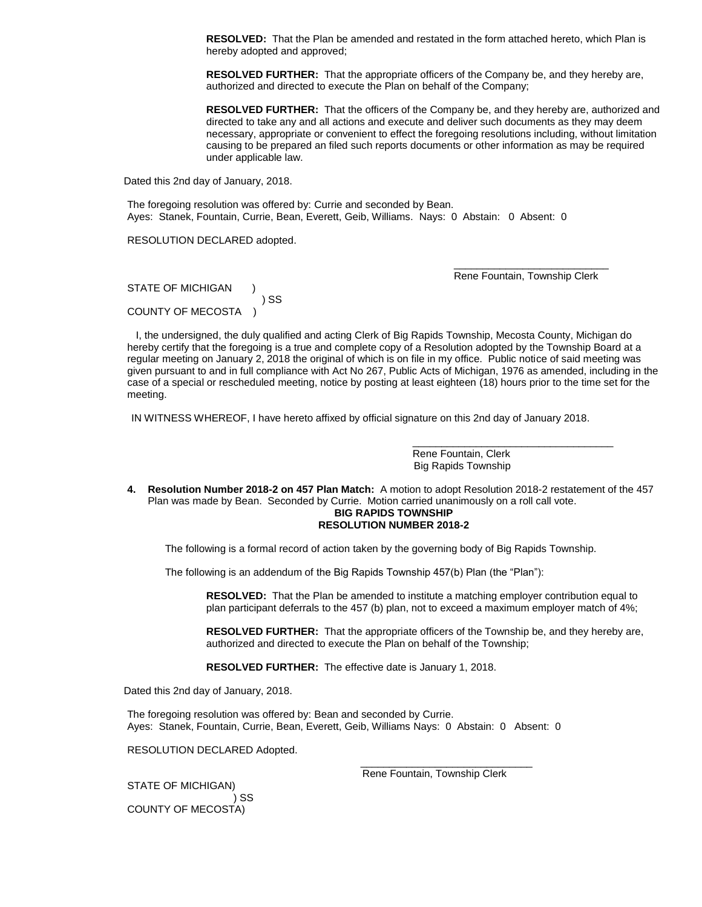**RESOLVED:** That the Plan be amended and restated in the form attached hereto, which Plan is hereby adopted and approved;

**RESOLVED FURTHER:** That the appropriate officers of the Company be, and they hereby are, authorized and directed to execute the Plan on behalf of the Company;

**RESOLVED FURTHER:** That the officers of the Company be, and they hereby are, authorized and directed to take any and all actions and execute and deliver such documents as they may deem necessary, appropriate or convenient to effect the foregoing resolutions including, without limitation causing to be prepared an filed such reports documents or other information as may be required under applicable law.

Dated this 2nd day of January, 2018.

The foregoing resolution was offered by: Currie and seconded by Bean. Ayes: Stanek, Fountain, Currie, Bean, Everett, Geib, Williams. Nays:0Abstain: 0 Absent: 0

RESOLUTION DECLARED adopted.

\_\_\_\_\_\_\_\_\_\_\_\_\_\_\_\_\_\_\_\_\_\_\_\_\_\_\_ Rene Fountain, Township Clerk

\_\_\_\_\_\_\_\_\_\_\_\_\_\_\_\_\_\_\_\_\_\_\_\_\_\_\_\_\_\_\_\_\_\_\_

STATE OF MICHIGAN ) SS COUNTY OF MECOSTA )

 I, the undersigned, the duly qualified and acting Clerk of Big Rapids Township, Mecosta County, Michigan do hereby certify that the foregoing is a true and complete copy of a Resolution adopted by the Township Board at a regular meeting on January 2, 2018 the original of which is on file in my office. Public notice of said meeting was given pursuant to and in full compliance with Act No 267, Public Acts of Michigan, 1976 as amended, including in the case of a special or rescheduled meeting, notice by posting at least eighteen (18) hours prior to the time set for the meeting.

IN WITNESS WHEREOF, I have hereto affixed by official signature on this 2nd day of January 2018.

 Rene Fountain, Clerk Big Rapids Township

**4. Resolution Number 2018-2 on 457 Plan Match:** A motion to adopt Resolution 2018-2 restatement of the 457 Plan was made by Bean. Seconded by Currie. Motion carried unanimously on a roll call vote.

#### **BIG RAPIDS TOWNSHIP RESOLUTION NUMBER 2018-2**

The following is a formal record of action taken by the governing body of Big Rapids Township.

The following is an addendum of the Big Rapids Township 457(b) Plan (the "Plan"):

**RESOLVED:** That the Plan be amended to institute a matching employer contribution equal to plan participant deferrals to the 457 (b) plan, not to exceed a maximum employer match of 4%;

**RESOLVED FURTHER:** That the appropriate officers of the Township be, and they hereby are, authorized and directed to execute the Plan on behalf of the Township;

**RESOLVED FURTHER:** The effective date is January 1, 2018.

Dated this 2nd day of January, 2018.

The foregoing resolution was offered by: Bean and seconded by Currie. Ayes: Stanek, Fountain, Currie, Bean, Everett, Geib, Williams Nays:0Abstain: 0 Absent: 0

 $\frac{1}{\sqrt{2}}$  , and the state of the state of the state of the state of the state of the state of the state of the state of the state of the state of the state of the state of the state of the state of the state of the sta

RESOLUTION DECLARED Adopted.

STATE OF MICHIGAN) ) SS COUNTY OF MECOSTA)

Rene Fountain, Township Clerk